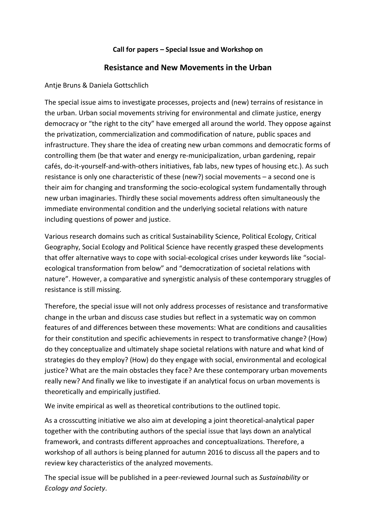### **Call for papers – Special Issue and Workshop on**

# **Resistance and New Movements in the Urban**

### Antje Bruns & Daniela Gottschlich

The special issue aims to investigate processes, projects and (new) terrains of resistance in the urban. Urban social movements striving for environmental and climate justice, energy democracy or "the right to the city" have emerged all around the world. They oppose against the privatization, commercialization and commodification of nature, public spaces and infrastructure. They share the idea of creating new urban commons and democratic forms of controlling them (be that water and energy re-municipalization, urban gardening, repair cafés, do-it-yourself-and-with-others initiatives, fab labs, new types of housing etc.). As such resistance is only one characteristic of these (new?) social movements – a second one is their aim for changing and transforming the socio-ecological system fundamentally through new urban imaginaries. Thirdly these social movements address often simultaneously the immediate environmental condition and the underlying societal relations with nature including questions of power and justice.

Various research domains such as critical Sustainability Science, Political Ecology, Critical Geography, Social Ecology and Political Science have recently grasped these developments that offer alternative ways to cope with social-ecological crises under keywords like "socialecological transformation from below" and "democratization of societal relations with nature". However, a comparative and synergistic analysis of these contemporary struggles of resistance is still missing.

Therefore, the special issue will not only address processes of resistance and transformative change in the urban and discuss case studies but reflect in a systematic way on common features of and differences between these movements: What are conditions and causalities for their constitution and specific achievements in respect to transformative change? (How) do they conceptualize and ultimately shape societal relations with nature and what kind of strategies do they employ? (How) do they engage with social, environmental and ecological justice? What are the main obstacles they face? Are these contemporary urban movements really new? And finally we like to investigate if an analytical focus on urban movements is theoretically and empirically justified.

We invite empirical as well as theoretical contributions to the outlined topic.

As a crosscutting initiative we also aim at developing a joint theoretical-analytical paper together with the contributing authors of the special issue that lays down an analytical framework, and contrasts different approaches and conceptualizations. Therefore, a workshop of all authors is being planned for autumn 2016 to discuss all the papers and to review key characteristics of the analyzed movements.

The special issue will be published in a peer-reviewed Journal such as *Sustainability* or *Ecology and Society*.